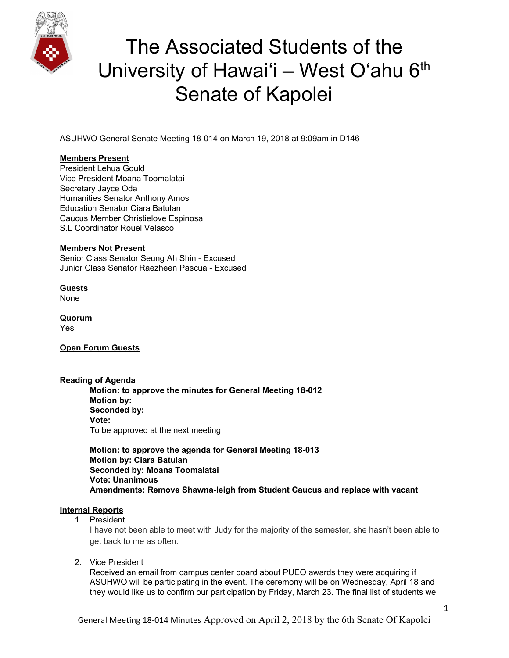

ASUHWO General Senate Meeting 18-014 on March 19, 2018 at 9:09am in D146

### **Members Present**

President Lehua Gould Vice President Moana Toomalatai Secretary Jayce Oda Humanities Senator Anthony Amos Education Senator Ciara Batulan Caucus Member Christielove Espinosa S.L Coordinator Rouel Velasco

#### **Members Not Present**

Senior Class Senator Seung Ah Shin - Excused Junior Class Senator Raezheen Pascua - Excused

**Guests** None

**Quorum** Yes

**Open Forum Guests**

#### **Reading of Agenda Motion: to approve the minutes for General Meeting 18-012 Motion by: Seconded by: Vote:** To be approved at the next meeting

**Motion: to approve the agenda for General Meeting 18-013 Motion by: Ciara Batulan Seconded by: Moana Toomalatai Vote: Unanimous Amendments: Remove Shawna-leigh from Student Caucus and replace with vacant**

### **Internal Reports**

1. President

I have not been able to meet with Judy for the majority of the semester, she hasn't been able to get back to me as often.

2. Vice President

Received an email from campus center board about PUEO awards they were acquiring if ASUHWO will be participating in the event. The ceremony will be on Wednesday, April 18 and they would like us to confirm our participation by Friday, March 23. The final list of students we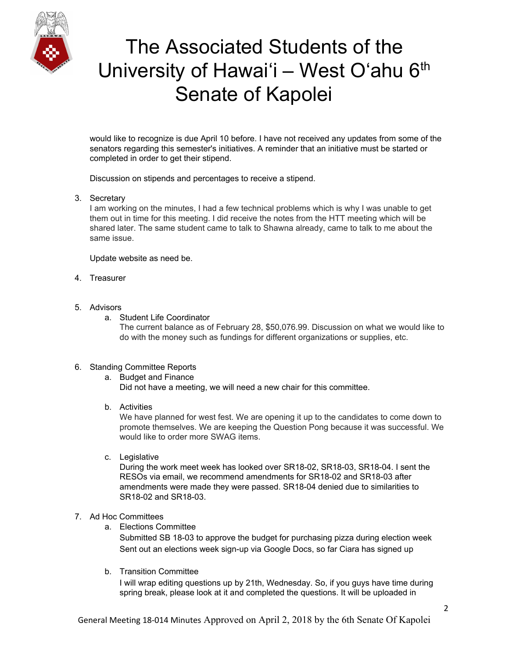

would like to recognize is due April 10 before. I have not received any updates from some of the senators regarding this semester's initiatives. A reminder that an initiative must be started or completed in order to get their stipend.

Discussion on stipends and percentages to receive a stipend.

### 3. Secretary

I am working on the minutes, I had a few technical problems which is why I was unable to get them out in time for this meeting. I did receive the notes from the HTT meeting which will be shared later. The same student came to talk to Shawna already, came to talk to me about the same issue.

Update website as need be.

4. Treasurer

### 5. Advisors

a. Student Life Coordinator

The current balance as of February 28, \$50,076.99. Discussion on what we would like to do with the money such as fundings for different organizations or supplies, etc.

### 6. Standing Committee Reports

a. Budget and Finance Did not have a meeting, we will need a new chair for this committee.

b. Activities

We have planned for west fest. We are opening it up to the candidates to come down to promote themselves. We are keeping the Question Pong because it was successful. We would like to order more SWAG items.

c. Legislative

During the work meet week has looked over SR18-02, SR18-03, SR18-04. I sent the RESOs via email, we recommend amendments for SR18-02 and SR18-03 after amendments were made they were passed. SR18-04 denied due to similarities to SR18-02 and SR18-03.

### 7. Ad Hoc Committees

a. Elections Committee

Submitted SB 18-03 to approve the budget for purchasing pizza during election week Sent out an elections week sign-up via Google Docs, so far Ciara has signed up

b. Transition Committee

I will wrap editing questions up by 21th, Wednesday. So, if you guys have time during spring break, please look at it and completed the questions. It will be uploaded in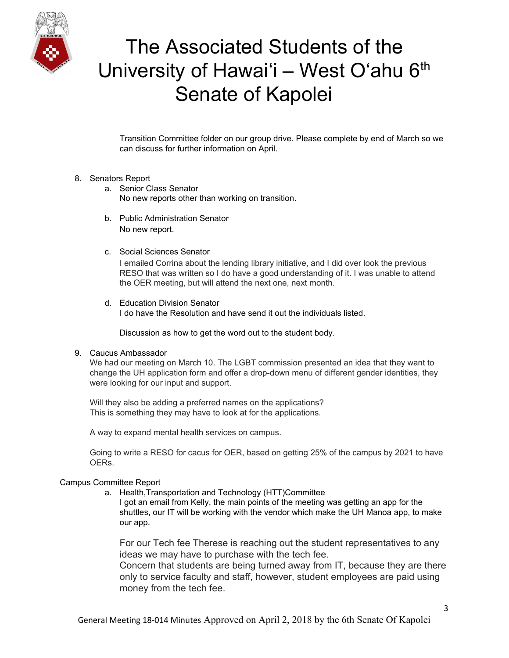

Transition Committee folder on our group drive. Please complete by end of March so we can discuss for further information on April.

#### 8. Senators Report

- a. Senior Class Senator No new reports other than working on transition.
- b. Public Administration Senator No new report.
- c. Social Sciences Senator

I emailed Corrina about the lending library initiative, and I did over look the previous RESO that was written so I do have a good understanding of it. I was unable to attend the OER meeting, but will attend the next one, next month.

d. Education Division Senator I do have the Resolution and have send it out the individuals listed.

Discussion as how to get the word out to the student body.

### 9. Caucus Ambassador

We had our meeting on March 10. The LGBT commission presented an idea that they want to change the UH application form and offer a drop-down menu of different gender identities, they were looking for our input and support.

Will they also be adding a preferred names on the applications? This is something they may have to look at for the applications.

A way to expand mental health services on campus.

Going to write a RESO for cacus for OER, based on getting 25% of the campus by 2021 to have OERs.

### Campus Committee Report

a. Health,Transportation and Technology (HTT)Committee

I got an email from Kelly, the main points of the meeting was getting an app for the shuttles, our IT will be working with the vendor which make the UH Manoa app, to make our app.

For our Tech fee Therese is reaching out the student representatives to any ideas we may have to purchase with the tech fee.

Concern that students are being turned away from IT, because they are there only to service faculty and staff, however, student employees are paid using money from the tech fee.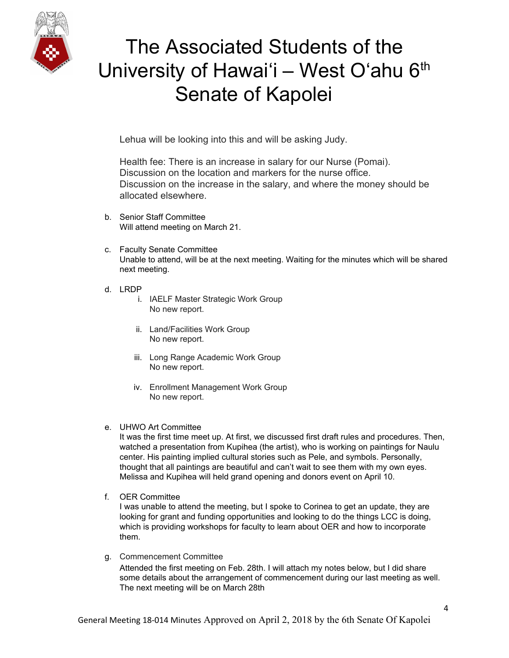

Lehua will be looking into this and will be asking Judy.

Health fee: There is an increase in salary for our Nurse (Pomai). Discussion on the location and markers for the nurse office. Discussion on the increase in the salary, and where the money should be allocated elsewhere.

- b. Senior Staff Committee Will attend meeting on March 21.
- c. Faculty Senate Committee Unable to attend, will be at the next meeting. Waiting for the minutes which will be shared next meeting.
- d. LRDP
	- i. IAELF Master Strategic Work Group No new report.
	- ii. Land/Facilities Work Group No new report.
	- iii. Long Range Academic Work Group No new report.
	- iv. Enrollment Management Work Group No new report.
- e. UHWO Art Committee

It was the first time meet up. At first, we discussed first draft rules and procedures. Then, watched a presentation from Kupihea (the artist), who is working on paintings for Naulu center. His painting implied cultural stories such as Pele, and symbols. Personally, thought that all paintings are beautiful and can't wait to see them with my own eyes. Melissa and Kupihea will held grand opening and donors event on April 10.

f. OER Committee

I was unable to attend the meeting, but I spoke to Corinea to get an update, they are looking for grant and funding opportunities and looking to do the things LCC is doing, which is providing workshops for faculty to learn about OER and how to incorporate them.

g. Commencement Committee

Attended the first meeting on Feb. 28th. I will attach my notes below, but I did share some details about the arrangement of commencement during our last meeting as well. The next meeting will be on March 28th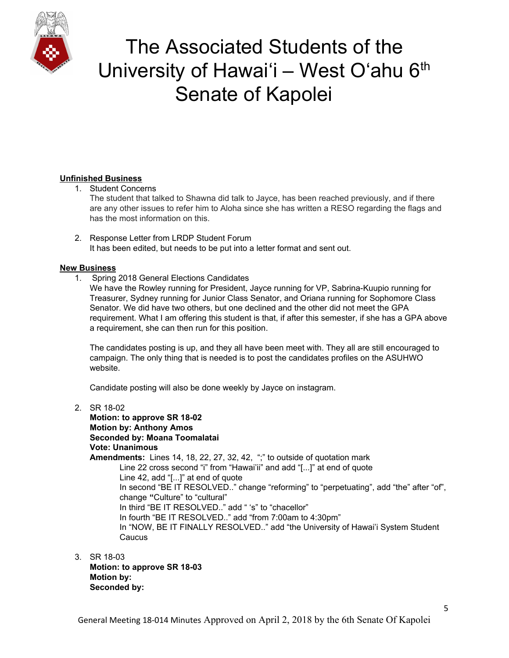

### **Unfinished Business**

1. Student Concerns

The student that talked to Shawna did talk to Jayce, has been reached previously, and if there are any other issues to refer him to Aloha since she has written a RESO regarding the flags and has the most information on this.

2. Response Letter from LRDP Student Forum It has been edited, but needs to be put into a letter format and sent out.

### **New Business**

1. Spring 2018 General Elections Candidates

We have the Rowley running for President, Jayce running for VP, Sabrina-Kuupio running for Treasurer, Sydney running for Junior Class Senator, and Oriana running for Sophomore Class Senator. We did have two others, but one declined and the other did not meet the GPA requirement. What I am offering this student is that, if after this semester, if she has a GPA above a requirement, she can then run for this position.

The candidates posting is up, and they all have been meet with. They all are still encouraged to campaign. The only thing that is needed is to post the candidates profiles on the ASUHWO website.

Candidate posting will also be done weekly by Jayce on instagram.

- 2. SR 18-02 **Motion: to approve SR 18-02 Motion by: Anthony Amos Seconded by: Moana Toomalatai Vote: Unanimous Amendments:** Lines 14, 18, 22, 27, 32, 42, ";" to outside of quotation mark Line 22 cross second "i" from "Hawai'ii" and add "[...]" at end of quote Line 42, add "[...]" at end of quote In second "BE IT RESOLVED.." change "reforming" to "perpetuating", add "the" after "of", change **"**Culture" to "cultural" In third "BE IT RESOLVED.." add " 's" to "chacellor" In fourth "BE IT RESOLVED.." add "from 7:00am to 4:30pm" In "NOW, BE IT FINALLY RESOLVED.." add "the University of Hawai'i System Student **Caucus**
- 3. SR 18-03 **Motion: to approve SR 18-03 Motion by: Seconded by:**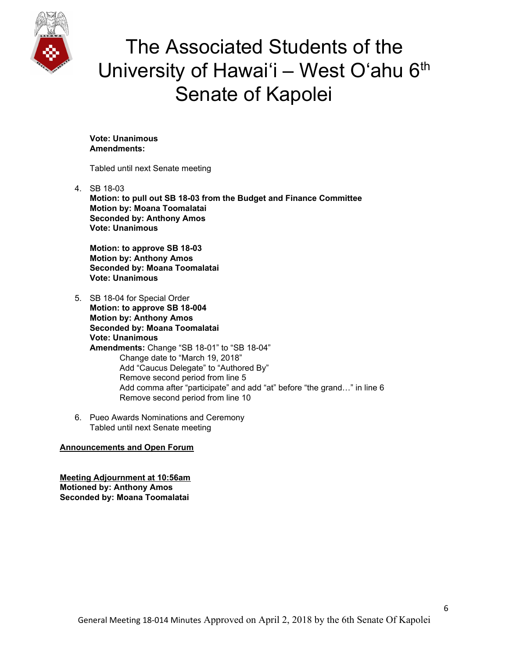

**Vote: Unanimous Amendments:**

Tabled until next Senate meeting

4. SB 18-03 **Motion: to pull out SB 18-03 from the Budget and Finance Committee Motion by: Moana Toomalatai Seconded by: Anthony Amos Vote: Unanimous**

**Motion: to approve SB 18-03 Motion by: Anthony Amos Seconded by: Moana Toomalatai Vote: Unanimous**

- 5. SB 18-04 for Special Order **Motion: to approve SB 18-004 Motion by: Anthony Amos Seconded by: Moana Toomalatai Vote: Unanimous Amendments:** Change "SB 18-01" to "SB 18-04" Change date to "March 19, 2018" Add "Caucus Delegate" to "Authored By" Remove second period from line 5 Add comma after "participate" and add "at" before "the grand…" in line 6 Remove second period from line 10
- 6. Pueo Awards Nominations and Ceremony Tabled until next Senate meeting

### **Announcements and Open Forum**

**Meeting Adjournment at 10:56am Motioned by: Anthony Amos Seconded by: Moana Toomalatai**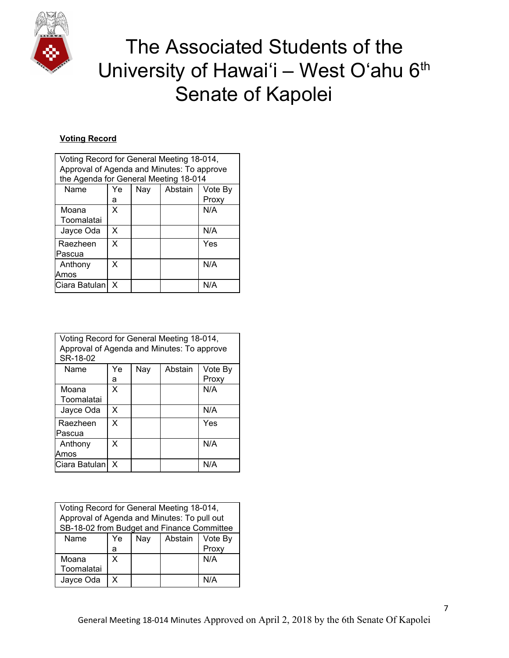

### **Voting Record**

| Voting Record for General Meeting 18-014,<br>Approval of Agenda and Minutes: To approve |    |     |         |         |
|-----------------------------------------------------------------------------------------|----|-----|---------|---------|
| the Agenda for General Meeting 18-014                                                   |    |     |         |         |
| Name                                                                                    | Ye | Nay | Abstain | Vote By |
|                                                                                         | а  |     |         | Proxy   |
| Moana                                                                                   | X  |     |         | N/A     |
| Toomalatai                                                                              |    |     |         |         |
| Jayce Oda                                                                               | X  |     |         | N/A     |
| Raezheen                                                                                | X  |     |         | Yes     |
| lPascua                                                                                 |    |     |         |         |
| Anthony                                                                                 | x  |     |         | N/A     |
| Amos                                                                                    |    |     |         |         |
| Ciara Batulan                                                                           | x  |     |         | N/A     |

| Voting Record for General Meeting 18-014,<br>Approval of Agenda and Minutes: To approve<br>SR-18-02 |    |     |         |         |
|-----------------------------------------------------------------------------------------------------|----|-----|---------|---------|
| Name                                                                                                | Ye | Nay | Abstain | Vote By |
|                                                                                                     | а  |     |         | Proxy   |
| Moana                                                                                               | X  |     |         | N/A     |
| Toomalatai                                                                                          |    |     |         |         |
| Jayce Oda                                                                                           | X  |     |         | N/A     |
| Raezheen                                                                                            | X  |     |         | Yes     |
| lPascua                                                                                             |    |     |         |         |
| Anthony                                                                                             | X  |     |         | N/A     |
| Amos                                                                                                |    |     |         |         |
| Ciara Batulan                                                                                       | x  |     |         | N/A     |

| Voting Record for General Meeting 18-014,<br>Approval of Agenda and Minutes: To pull out |    |     |         |         |
|------------------------------------------------------------------------------------------|----|-----|---------|---------|
| SB-18-02 from Budget and Finance Committee                                               |    |     |         |         |
| Name                                                                                     | Ye | Nay | Abstain | Vote By |
|                                                                                          | а  |     |         | Proxy   |
| Moana                                                                                    | x  |     |         | N/A     |
| Toomalatai                                                                               |    |     |         |         |
| Jayce Oda                                                                                | x  |     |         | N/A     |